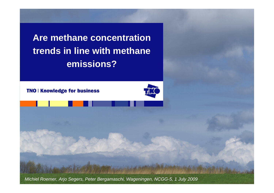**Are methane concentration trends in line with methane emissions?**

**TNO | Knowledge for business** 



*Michiel Roemer, Arjo Segers, Peter Bergamaschi, Wageningen, NCGG-5, 1 July 2009*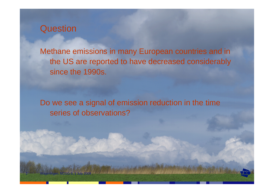

Wageningen, NCGG-5, 1 July 2009

2

Methane emissions in many European countries and in the US are reported to have decreased considerably since the 1990s.

Do we see a signal of emission reduction in the time series of observations?

Sanderdo yaras and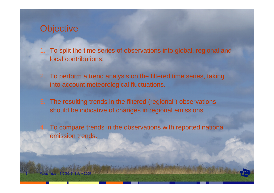# **Objective**

Wageningen, NCGG-5, 1 July 2009

- 1. To split the time series of observations into global, regional and local contributions.
- 2. To perform a trend analysis on the filtered time series, taking into account meteorological fluctuations.
- 3. The resulting trends in the filtered (regional ) observations should be indicative of changes in regional emissions.

Sandanier Garden

 To compare trends in the observations with reported national emission trends.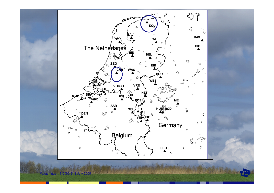

Wageningen, NCGG-5, 1 July 2009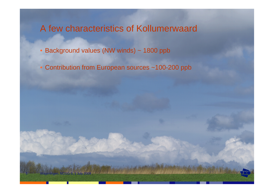# A few characteristics of Kollumerwaard

• Background values (NW winds) ~ 1800 ppb

Wageningen, NCGG-5, 1 July 2009

• Contribution from European sources ~100-200 ppb

Statistics of the model the West

Sank about the State and Content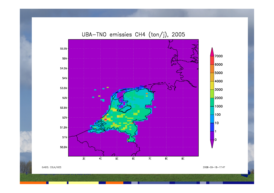

### UBA-TNO emissies CH4 (ton/j), 2005

GrADS: COLA/IGES

 $6$  Wageningen, NCCG-5, 1 July 2009

2008-09-18-17:47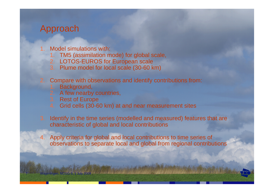# Approach

Wageningen, NCGG-5, 1 July 2009

7

- 1. Model simulations with:
	- 1. TM5 (assimilation mode) for global scale,
	- 2. LOTOS-EUROS for European scale
	- 3. Plume model for local scale (30-60 km)
- 2. Compare with observations and identify contributions from:
	- 1. Background,
	- 2. A few nearby countries,
	- 3. Rest of Europe
	- 4. Grid cells (30-60 km) at and near measurement sites
- 3. Identify in the time series (modelled and measured) features that are characteristic of global and local contributions
- 4. Apply criteria for global and local contributions to time series of observations to separate local and global from regional contributions

<u> 1966 - Andrés versenskrifte verskriften i skriften i Statenberg og det staten for de</u>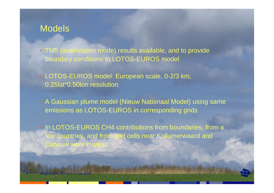### **Models**

Wageningen, NCGG-5, 1 July 2009

• TM5 (assimilation mode) results available, and to provide boundary conditions to LOTOS-EUROS model

• LOTOS-EUROS model: European scale, 0-2/3 km, 0.25lat\*0.50lon resolution

Antario germana del ignis

• A Gaussian plume model (Nieuw Nationaal Model) using same emissions as LOTOS-EUROS in corresponding grids

• In LOTOS-EUROS CH4 contributions from boundaries, from a few countries, and from grid cells near Kollumerwaard and Cabauw were marke

The Same include the said state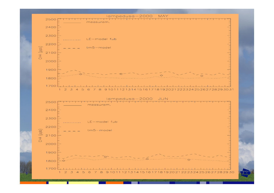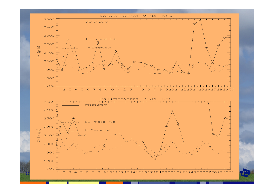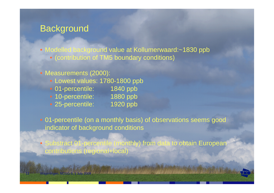# **Background**

• Modelled background value at Kollumerwaard:~1830 ppb

• (contribution of TM5 boundary conditions)

#### • Measurements (2000):

- Lowest values: 1780-1800 ppb
- 01-percentile: 1840 ppb
- 10-percentile: 1880 ppb

Wageningen, NCGG-5, 1 July 2009

11

**STAR CHANGE OF A REAL PART** 

- 25-percentile: 1920 ppb
- 

• 01-percentile (on a monthly basis) of observations seems good indicator of background conditions

• Substract 01-percentile (monthly) from data to obtain European contributions (regional+local)

New Barristown Charles Collection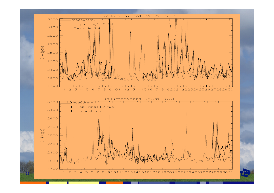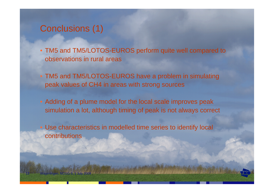# Conclusions (1)

13

Wageningen, NCGG-5, 1 July 2009

• TM5 and TM5/LOTOS-EUROS perform quite well compared to observations in rural areas

- TM5 and TM5/LOTOS-EUROS have a problem in simulating peak values of CH4 in areas with strong sources
- Adding of a plume model for the local scale improves peak simulation a lot, although timing of peak is not always correct
- Use characteristics in modelled time series to identify local contributions

Sankanich groten zu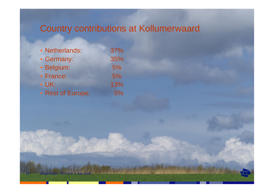# Country contributions at Kollumerwaard

almédyere medikatik

2 min 68 file of out

| • Netherlands:    | 37% |
|-------------------|-----|
| • Germany:        | 35% |
| · Belgium:        | 5%  |
| • France:         | 5%  |
| $\bullet$ UK:     | 13% |
| • Rest of Europe: | 5%  |

14

Wageningen, NCGG-5, 1 July 2009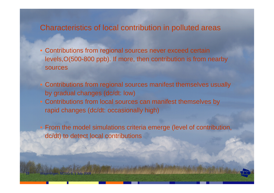### Characteristics of local contribution in polluted areas

- Contributions from regional sources never exceed certain levels,O(500-800 ppb). If more, then contribution is from nearby sources
- Contributions from regional sources manifest themselves usually by gradual changes (dc/dt: low)
- Contributions from local sources can manifest themselves by rapid changes (dc/dt: occasionally high)

15

Wageningen, NCGG-5, 1 July 2009

 From the model simulations criteria emerge (level of contribution, dc/dt) to detect local contributions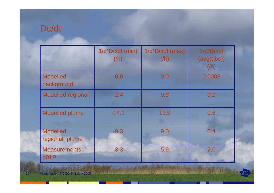# Dc/dt

|                                   | 1/c*Dc/dt (min)<br>(h) | 1/c*Dc/dt (max)<br>(/h) | $1/c$ *Dc/dt<br>(avg(abs))<br>(/h) |
|-----------------------------------|------------------------|-------------------------|------------------------------------|
| <b>Modelled</b><br>background     | $-0.0$                 | 0.0                     | 0.0003                             |
| <b>Modelled regional</b>          | $-2.4$                 | 0.8                     | 0.1                                |
| <b>Modelled plume</b>             | $-14.1$                | 13.9                    | 0.6                                |
| <b>Modelled</b><br>regional+plume | $-9.3$                 | 9.0                     | 0.4                                |
| Measurements-<br>p01P             | $-3.3$                 | 5.9                     | 2.0                                |

ringen freightight **Balling Corporation** 

eningen, NCGG-5, 1 July 2009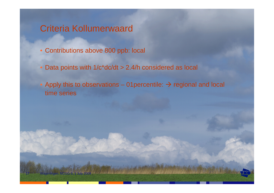# Criteria Kollumerwaard

17

Wageningen, NCGG-5, 1 July 2009

- Contributions above 800 ppb: local
- Data points with 1/c\*dc/dt > 2.4/h considered as local

Antonio verso su dovisionio

Apply this to observations – 01 percentile:  $\rightarrow$  regional and local time series

princede probablication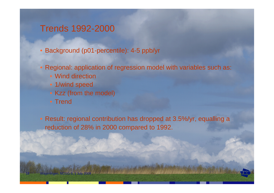# Trends 1992-2000

- Background (p01-percentile): 4-5 ppb/yr
- Regional: application of regression model with variables such as:
	- Wind direction
	- 1/wind speed
	- Kzz (from the model)
	- Trend

Wageningen, NCGG-5, 1 July 2009

18

• Result: regional contribution has dropped at 3.5%/yr, equalling <sup>a</sup> reduction of 28% in 2000 compared to 1992.

**Silly School Committee School** 

marked the state of the state of the state of the state of the state of the state of the state of the state of the state of the state of the state of the state of the state of the state of the state of the state of the sta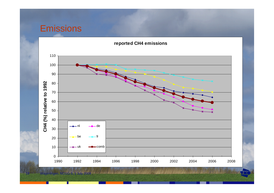# Emissions



#### **reported CH4 emissions**

**ROSE** en, NCGG-5, 1 July 2009